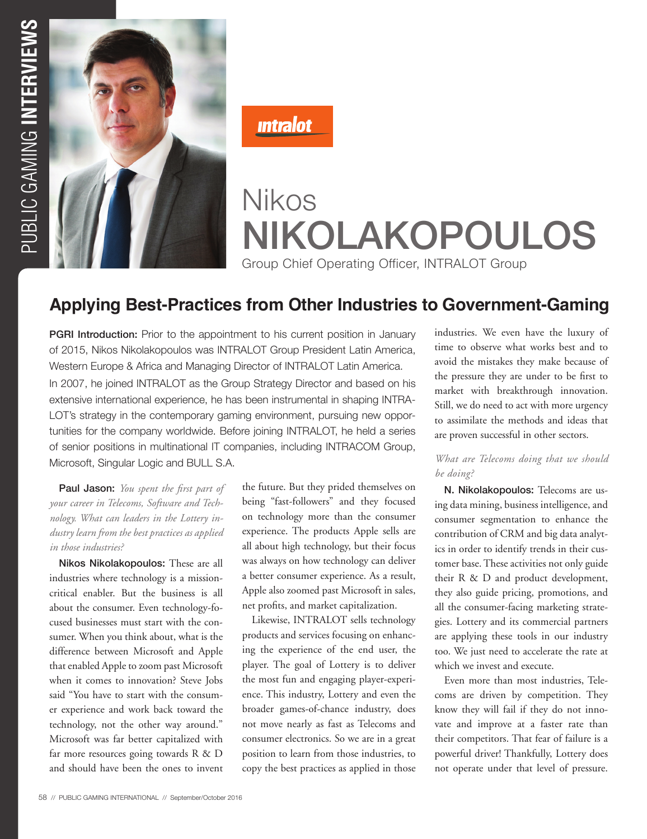

**Intralot** 

# Nikos NIKOLAKOPOULOS Group Chief Operating Officer, INTRALOT Group

# **Applying Best-Practices from Other Industries to Government-Gaming**

**PGRI Introduction:** Prior to the appointment to his current position in January of 2015, Nikos Nikolakopoulos was INTRALOT Group President Latin America, Western Europe & Africa and Managing Director of INTRALOT Latin America. In 2007, he joined INTRALOT as the Group Strategy Director and based on his extensive international experience, he has been instrumental in shaping INTRA-LOT's strategy in the contemporary gaming environment, pursuing new opportunities for the company worldwide. Before joining INTRALOT, he held a series of senior positions in multinational IT companies, including INTRACOM Group, Microsoft, Singular Logic and BULL S.A.

Paul Jason: *You spent the first part of your career in Telecoms, Software and Technology. What can leaders in the Lottery industry learn from the best practices as applied in those industries?* 

Nikos Nikolakopoulos: These are all industries where technology is a missioncritical enabler. But the business is all about the consumer. Even technology-focused businesses must start with the consumer. When you think about, what is the difference between Microsoft and Apple that enabled Apple to zoom past Microsoft when it comes to innovation? Steve Jobs said "You have to start with the consumer experience and work back toward the technology, not the other way around." Microsoft was far better capitalized with far more resources going towards R & D and should have been the ones to invent the future. But they prided themselves on being "fast-followers" and they focused on technology more than the consumer experience. The products Apple sells are all about high technology, but their focus was always on how technology can deliver a better consumer experience. As a result, Apple also zoomed past Microsoft in sales, net profits, and market capitalization.

Likewise, INTRALOT sells technology products and services focusing on enhancing the experience of the end user, the player. The goal of Lottery is to deliver the most fun and engaging player-experience. This industry, Lottery and even the broader games-of-chance industry, does not move nearly as fast as Telecoms and consumer electronics. So we are in a great position to learn from those industries, to copy the best practices as applied in those industries. We even have the luxury of time to observe what works best and to avoid the mistakes they make because of the pressure they are under to be first to market with breakthrough innovation. Still, we do need to act with more urgency to assimilate the methods and ideas that are proven successful in other sectors.

#### *What are Telecoms doing that we should be doing?*

N. Nikolakopoulos: Telecoms are using data mining, business intelligence, and consumer segmentation to enhance the contribution of CRM and big data analytics in order to identify trends in their customer base. These activities not only guide their R & D and product development, they also guide pricing, promotions, and all the consumer-facing marketing strategies. Lottery and its commercial partners are applying these tools in our industry too. We just need to accelerate the rate at which we invest and execute.

Even more than most industries, Telecoms are driven by competition. They know they will fail if they do not innovate and improve at a faster rate than their competitors. That fear of failure is a powerful driver! Thankfully, Lottery does not operate under that level of pressure.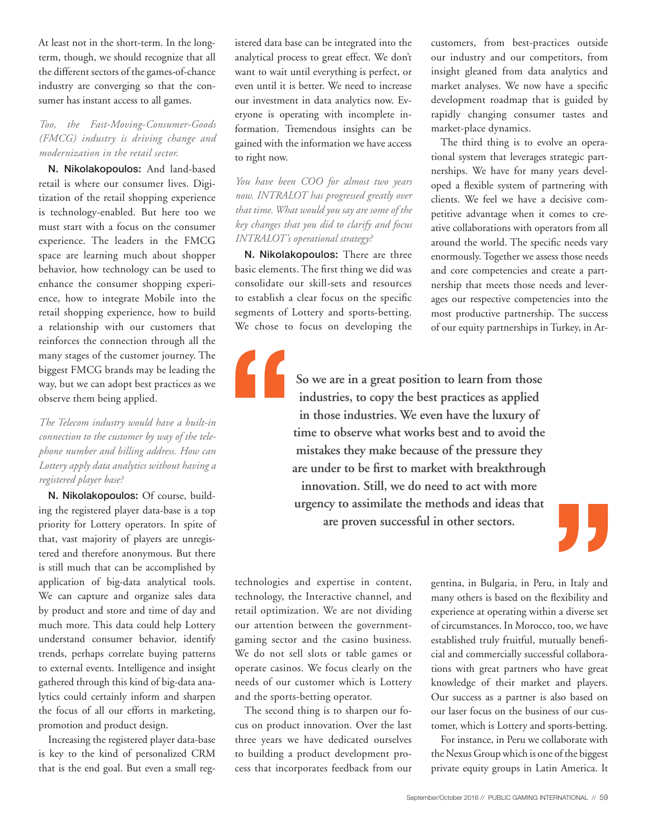At least not in the short-term. In the longterm, though, we should recognize that all the different sectors of the games-of-chance industry are converging so that the consumer has instant access to all games.

### *Too, the Fast-Moving-Consumer-Goods (FMCG) industry is driving change and modernization in the retail sector.*

N. Nikolakopoulos: And land-based retail is where our consumer lives. Digitization of the retail shopping experience is technology-enabled. But here too we must start with a focus on the consumer experience. The leaders in the FMCG space are learning much about shopper behavior, how technology can be used to enhance the consumer shopping experience, how to integrate Mobile into the retail shopping experience, how to build a relationship with our customers that reinforces the connection through all the many stages of the customer journey. The biggest FMCG brands may be leading the way, but we can adopt best practices as we observe them being applied.

*The Telecom industry would have a built-in connection to the customer by way of the telephone number and billing address. How can Lottery apply data analytics without having a registered player base?*

N. Nikolakopoulos: Of course, building the registered player data-base is a top priority for Lottery operators. In spite of that, vast majority of players are unregistered and therefore anonymous. But there is still much that can be accomplished by application of big-data analytical tools. We can capture and organize sales data by product and store and time of day and much more. This data could help Lottery understand consumer behavior, identify trends, perhaps correlate buying patterns to external events. Intelligence and insight gathered through this kind of big-data analytics could certainly inform and sharpen the focus of all our efforts in marketing, promotion and product design.

Increasing the registered player data-base is key to the kind of personalized CRM that is the end goal. But even a small reg-

istered data base can be integrated into the analytical process to great effect. We don't want to wait until everything is perfect, or even until it is better. We need to increase our investment in data analytics now. Everyone is operating with incomplete information. Tremendous insights can be gained with the information we have access to right now.

*You have been COO for almost two years now. INTRALOT has progressed greatly over that time. What would you say are some of the key changes that you did to clarify and focus INTRALOT's operational strategy?*

N. Nikolakopoulos: There are three basic elements. The first thing we did was consolidate our skill-sets and resources to establish a clear focus on the specific segments of Lottery and sports-betting. We chose to focus on developing the

> **So we are in a great position to learn from those industries, to copy the best practices as applied in those industries. We even have the luxury of time to observe what works best and to avoid the mistakes they make because of the pressure they are under to be first to market with breakthrough innovation. Still, we do need to act with more urgency to assimilate the methods and ideas that are proven successful in other sectors.**

technologies and expertise in content, technology, the Interactive channel, and retail optimization. We are not dividing our attention between the governmentgaming sector and the casino business. We do not sell slots or table games or operate casinos. We focus clearly on the needs of our customer which is Lottery and the sports-betting operator.

The second thing is to sharpen our focus on product innovation. Over the last three years we have dedicated ourselves to building a product development process that incorporates feedback from our

gentina, in Bulgaria, in Peru, in Italy and many others is based on the flexibility and experience at operating within a diverse set of circumstances. In Morocco, too, we have established truly fruitful, mutually beneficial and commercially successful collaborations with great partners who have great knowledge of their market and players. Our success as a partner is also based on our laser focus on the business of our customer, which is Lottery and sports-betting.

customers, from best-practices outside our industry and our competitors, from insight gleaned from data analytics and market analyses. We now have a specific development roadmap that is guided by rapidly changing consumer tastes and

The third thing is to evolve an operational system that leverages strategic partnerships. We have for many years developed a flexible system of partnering with clients. We feel we have a decisive competitive advantage when it comes to creative collaborations with operators from all around the world. The specific needs vary enormously. Together we assess those needs and core competencies and create a partnership that meets those needs and leverages our respective competencies into the most productive partnership. The success of our equity partnerships in Turkey, in Ar-

market-place dynamics.

For instance, in Peru we collaborate with the Nexus Group which is one of the biggest private equity groups in Latin America. It